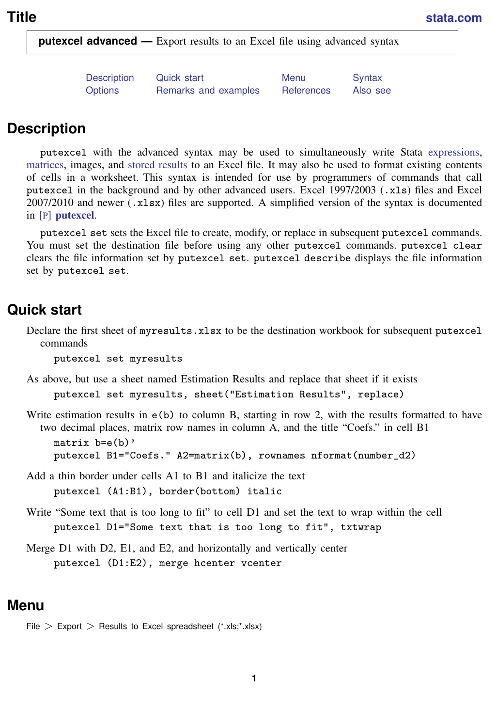<span id="page-0-3"></span>**putexcel advanced —** Export results to an Excel file using advanced syntax

| <b>Description</b> | Quick start          | Menu       | Syntax   |
|--------------------|----------------------|------------|----------|
| <b>Options</b>     | Remarks and examples | References | Also see |

## <span id="page-0-0"></span>**Description**

putexcel with the advanced syntax may be used to simultaneously write Stata [expressions,](http://www.stata.com/manuals14/u13.pdf#u13Functionsandexpressions) [matrices](http://www.stata.com/manuals14/pmatrix.pdf#pmatrix), images, and [stored results](http://www.stata.com/manuals14/preturn.pdf#preturn) to an Excel file. It may also be used to format existing contents of cells in a worksheet. This syntax is intended for use by programmers of commands that call putexcel in the background and by other advanced users. Excel 1997/2003 (.xls) files and Excel  $2007/2010$  and newer  $(.x1sx)$  files are supported. A simplified version of the syntax is documented in [P] [putexcel](http://www.stata.com/manuals14/pputexcel.pdf#pputexcel).

putexcel set sets the Excel file to create, modify, or replace in subsequent putexcel commands. You must set the destination file before using any other putexcel commands. putexcel clear clears the file information set by putexcel set. putexcel describe displays the file information set by putexcel set.

## <span id="page-0-1"></span>**Quick start**

Declare the first sheet of myresults.xlsx to be the destination workbook for subsequent putexcel commands

putexcel set myresults

As above, but use a sheet named Estimation Results and replace that sheet if it exists

putexcel set myresults, sheet("Estimation Results", replace)

Write estimation results in  $e(b)$  to column B, starting in row 2, with the results formatted to have two decimal places, matrix row names in column A, and the title "Coefs." in cell B1

matrix  $b=e(b)$ ' putexcel B1="Coefs." A2=matrix(b), rownames nformat(number d2)

- Add a thin border under cells A1 to B1 and italicize the text putexcel (A1:B1), border(bottom) italic
- Write "Some text that is too long to fit" to cell D1 and set the text to wrap within the cell putexcel D1="Some text that is too long to fit", txtwrap
- <span id="page-0-2"></span>Merge D1 with D2, E1, and E2, and horizontally and vertically center putexcel (D1:E2), merge hcenter vcenter

## **Menu**

File  $>$  Export  $>$  Results to Excel spreadsheet (\*.xls;\*.xlsx)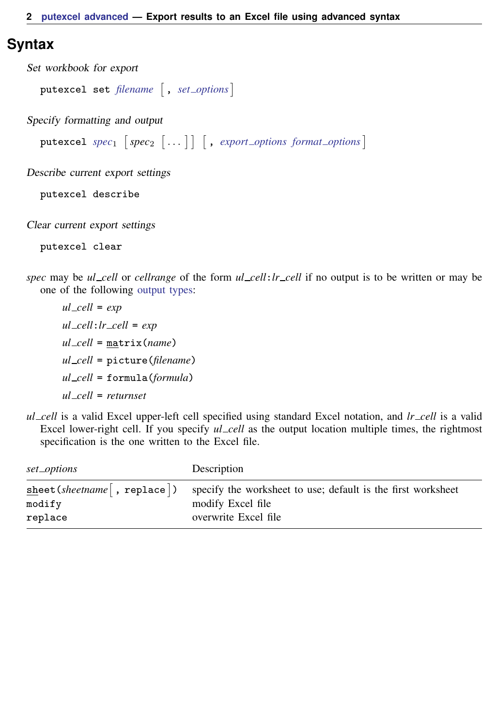## <span id="page-1-0"></span>**Syntax**

```
Set workbook for export
  putexcel set filename |, options |
Specify formatting and output
  specoptions}\ \textit{format\_options}\ \textcolor{red}{\big]}\Describe current export settings
  putexcel describe
```
Clear current export settings

putexcel clear

<span id="page-1-2"></span>*spec* may be *ul cell* or *cellrange* of the form *ul cell*:*lr cell* if no output is to be written or may be one of the following [output types](#page-3-0):

*ul cell* = *exp ul cell*:*lr cell* = *exp ul cell* = matrix(*name*) *ul cell* = picture(*filename*) *ul cell* = formula(*formula*) *ul cell* = *returnset*

*ul cell* is a valid Excel upper-left cell specified using standard Excel notation, and *lr cell* is a valid Excel lower-right cell. If you specify *ul cell* as the output location multiple times, the rightmost specification is the one written to the Excel file.

<span id="page-1-1"></span>

| set_options                 | Description                                                  |
|-----------------------------|--------------------------------------------------------------|
| sheet(sheetname[, replace]) | specify the worksheet to use; default is the first worksheet |
| modify                      | modify Excel file                                            |
| replace                     | overwrite Excel file                                         |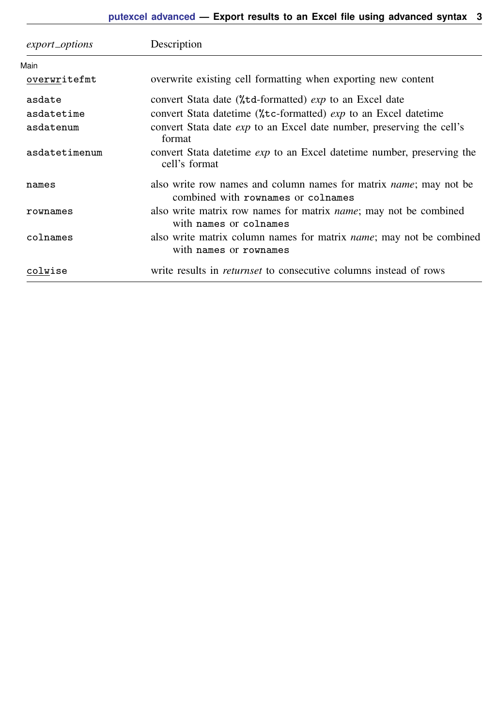<span id="page-2-1"></span><span id="page-2-0"></span>

| export_options | Description                                                                                                     |
|----------------|-----------------------------------------------------------------------------------------------------------------|
| Main           |                                                                                                                 |
| overwritefmt   | overwrite existing cell formatting when exporting new content                                                   |
| asdate         | convert Stata date (%td-formatted) exp to an Excel date                                                         |
| asdatetime     | convert Stata date time (%, tc-formatted) <i>exp</i> to an Excel date time                                      |
| asdatenum      | convert Stata date <i>exp</i> to an Excel date number, preserving the cell's<br>format                          |
| asdatetimenum  | convert Stata date time <i>exp</i> to an Excel date time number, preserving the<br>cell's format                |
| names          | also write row names and column names for matrix <i>name</i> ; may not be<br>combined with rownames or colnames |
| rownames       | also write matrix row names for matrix <i>name</i> ; may not be combined<br>with names or colnames              |
| colnames       | also write matrix column names for matrix <i>name</i> ; may not be combined<br>with names or rownames           |
| colwise        | write results in <i>returnset</i> to consecutive columns instead of rows                                        |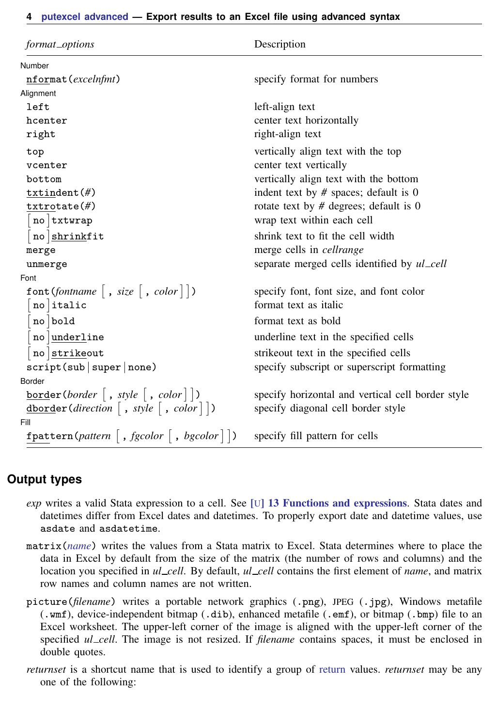### **4 [putexcel advanced](#page-0-3) — Export results to an Excel file using advanced syntax**

| format_options                                                    | Description                                       |  |  |
|-------------------------------------------------------------------|---------------------------------------------------|--|--|
| Number                                                            |                                                   |  |  |
| nformat (excelnfmt)                                               | specify format for numbers                        |  |  |
| Alignment                                                         |                                                   |  |  |
| left                                                              | left-align text                                   |  |  |
| hcenter                                                           | center text horizontally                          |  |  |
| right                                                             | right-align text                                  |  |  |
| top                                                               | vertically align text with the top                |  |  |
| vcenter                                                           | center text vertically                            |  |  |
| bottom                                                            | vertically align text with the bottom             |  |  |
| txtindent(f))                                                     | indent text by $#$ spaces; default is 0           |  |  |
| txtrotate(f)                                                      | rotate text by $#$ degrees; default is 0          |  |  |
| $no$ txtwrap                                                      | wrap text within each cell                        |  |  |
| no shrinkfit                                                      | shrink text to fit the cell width                 |  |  |
| merge                                                             | merge cells in <i>cellrange</i>                   |  |  |
| unmerge                                                           | separate merged cells identified by ul_cell       |  |  |
| Font                                                              |                                                   |  |  |
| font (fontname $\left[ , size \right[ , color \right]$ )          | specify font, font size, and font color           |  |  |
| $no$ italic                                                       | format text as italic                             |  |  |
| no bold                                                           | format text as bold                               |  |  |
| no <u>underl</u> ine                                              | underline text in the specified cells             |  |  |
| no strikeout                                                      | strike out text in the specified cells            |  |  |
| script(sub super none)                                            | specify subscript or superscript formatting       |  |  |
| Border                                                            |                                                   |  |  |
| $\underline{\text{border}}(border \mid, style \mid, color \mid))$ | specify horizontal and vertical cell border style |  |  |
| dborder(direction  , style  , color    )                          | specify diagonal cell border style                |  |  |
| Fill                                                              |                                                   |  |  |
| fpattern(pattern   , fgcolor   , bgcolor $  \cdot  $ )            | specify fill pattern for cells                    |  |  |

## <span id="page-3-0"></span>**Output types**

- *exp* writes a valid Stata expression to a cell. See [U[\] 13 Functions and expressions](http://www.stata.com/manuals14/u13.pdf#u13Functionsandexpressions). Stata dates and datetimes differ from Excel dates and datetimes. To properly export date and datetime values, use asdate and asdatetime.
- matrix(*[name](http://www.stata.com/manuals14/pmatrix.pdf#pmatrix)*) writes the values from a Stata matrix to Excel. Stata determines where to place the data in Excel by default from the size of the matrix (the number of rows and columns) and the location you specified in *ul cell*. By default, *ul cell* contains the first element of *name*, and matrix row names and column names are not written.
- picture(*filename*) writes a portable network graphics (.png), JPEG (.jpg), Windows metafile (.wmf), device-independent bitmap (.dib), enhanced metafile (.emf), or bitmap (.bmp) file to an Excel worksheet. The upper-left corner of the image is aligned with the upper-left corner of the specified *ul cell*. The image is not resized. If *filename* contains spaces, it must be enclosed in double quotes.
- *returnset* is a shortcut name that is used to identify a group of [return](http://www.stata.com/manuals14/preturn.pdf#preturn) values. *returnset* may be any one of the following: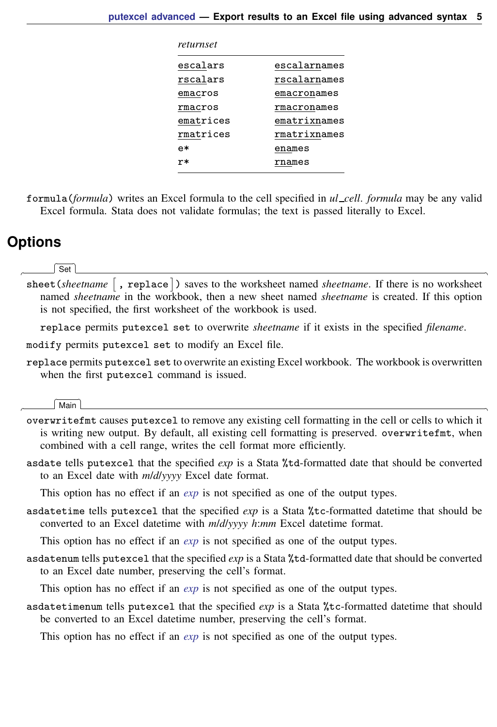| returnset |              |
|-----------|--------------|
| escalars  | escalarnames |
| rscalars  | rscalarnames |
| emacros   | emacronames  |
| rmacros   | rmacronames  |
| ematrices | ematrixnames |
| rmatrices | rmatrixnames |
| e*        | enames       |
| r*        | rnames       |
|           |              |

<span id="page-4-0"></span>formula(*formula*) writes an Excel formula to the cell specified in *ul cell*. *formula* may be any valid Excel formula. Stata does not validate formulas; the text is passed literally to Excel.

# **Options**

 $\overline{a}$ 

 $\overline{a}$ 

∫ Set  $Set \downarrow$ 

sheet(*sheetname* , replace) saves to the worksheet named *sheetname*. If there is no worksheet named *sheetname* in the workbook, then a new sheet named *sheetname* is created. If this option is not specified, the first worksheet of the workbook is used.

replace permits putexcel set to overwrite *sheetname* if it exists in the specified *filename*.

modify permits putexcel set to modify an Excel file.

replace permits putexcel set to overwrite an existing Excel workbook. The workbook is overwritten when the first putexcel command is issued.

### Main Main  $\Box$

- overwritefmt causes putexcel to remove any existing cell formatting in the cell or cells to which it is writing new output. By default, all existing cell formatting is preserved. overwritefmt, when combined with a cell range, writes the cell format more efficiently.
- asdate tells putexcel that the specified *exp* is a Stata %td-formatted date that should be converted to an Excel date with *m*/*d*/*yyyy* Excel date format.

This option has no effect if an *[exp](http://www.stata.com/manuals14/u13.pdf#u13Functionsandexpressions)* is not specified as one of the output types.

asdatetime tells putexcel that the specified *exp* is a Stata %tc-formatted datetime that should be converted to an Excel datetime with *m*/*d*/*yyyy h*:*mm* Excel datetime format.

This option has no effect if an *[exp](http://www.stata.com/manuals14/u13.pdf#u13Functionsandexpressions)* is not specified as one of the output types.

asdatenum tells putexcel that the specified *exp* is a Stata %td-formatted date that should be converted to an Excel date number, preserving the cell's format.

This option has no effect if an *[exp](http://www.stata.com/manuals14/u13.pdf#u13Functionsandexpressions)* is not specified as one of the output types.

asdatetimenum tells putexcel that the specified *exp* is a Stata %tc-formatted datetime that should be converted to an Excel datetime number, preserving the cell's format.

This option has no effect if an *[exp](http://www.stata.com/manuals14/u13.pdf#u13Functionsandexpressions)* is not specified as one of the output types.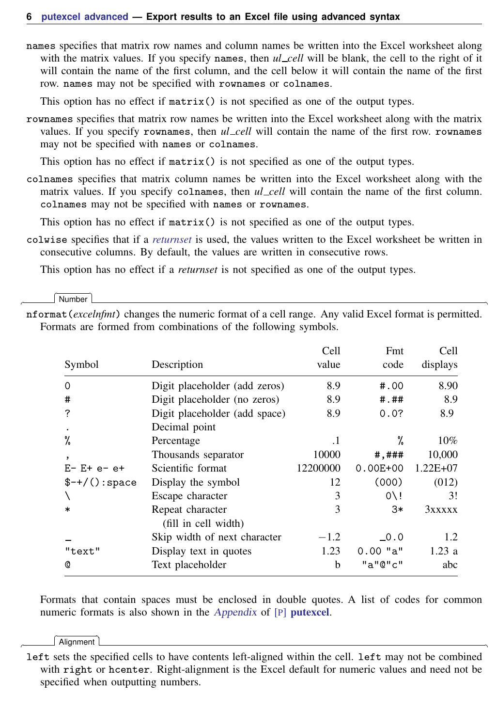### **6 [putexcel advanced](#page-0-3) — Export results to an Excel file using advanced syntax**

names specifies that matrix row names and column names be written into the Excel worksheet along with the matrix values. If you specify names, then *ul* \_cell will be blank, the cell to the right of it will contain the name of the first column, and the cell below it will contain the name of the first row. names may not be specified with rownames or colnames.

This option has no effect if matrix() is not specified as one of the output types.

rownames specifies that matrix row names be written into the Excel worksheet along with the matrix values. If you specify rownames, then *ul cell* will contain the name of the first row. rownames may not be specified with names or colnames.

This option has no effect if  $matrix()$  is not specified as one of the output types.

colnames specifies that matrix column names be written into the Excel worksheet along with the matrix values. If you specify colnames, then *ul\_cell* will contain the name of the first column. colnames may not be specified with names or rownames.

This option has no effect if matrix() is not specified as one of the output types.

colwise specifies that if a *[returnset](http://www.stata.com/manuals14/pputexcel.pdf#pputexcelSyntaxreturnset)* is used, the values written to the Excel worksheet be written in consecutive columns. By default, the values are written in consecutive rows.

This option has no effect if a *returnset* is not specified as one of the output types.

Number Number <u>Land and the second contract of the second contract of the second contract of the second contract of the second contract of the second contract of the second contract of the second contract of the second contract o</u>

 $\overline{a}$ 

nformat(*excelnfmt*) changes the numeric format of a cell range. Any valid Excel format is permitted. Formats are formed from combinations of the following symbols.

|                   |                                          | Cell      | Fmt              | Cell         |  |
|-------------------|------------------------------------------|-----------|------------------|--------------|--|
| Symbol            | Description                              | value     | code             | displays     |  |
| $\Omega$          | Digit placeholder (add zeros)            | 8.9       | #.00             | 8.90         |  |
| #                 | Digit placeholder (no zeros)             | 8.9       | # . ##           | 8.9          |  |
| ?                 | Digit placeholder (add space)            | 8.9       | 0.0?             | 8.9          |  |
|                   | Decimal point                            |           |                  |              |  |
| %                 | Percentage                               | $\cdot$ 1 | %                | $10\%$       |  |
| ,                 | Thousands separator                      | 10000     | $\#$ , $\#$ ##   | 10,000       |  |
| $E - E + e - e +$ | Scientific format                        | 12200000  | $0.00E + 00$     | $1.22E + 07$ |  |
| $$-+/():\,space$  | Display the symbol                       | 12        | (000)            | (012)        |  |
|                   | Escape character                         | 3         | $0 \backslash !$ | 3!           |  |
| *                 | Repeat character<br>(fill in cell width) | 3         | 3*               | 3xxxxx       |  |
|                   | Skip width of next character             | $-1.2$    | $\sim 0.0$       | 1.2          |  |
| "text"            | Display text in quotes                   | 1.23      | $0.00$ "a"       | 1.23a        |  |
| Q                 | Text placeholder                         | b         | "a"@"c"          | abc          |  |

Formats that contain spaces must be enclosed in double quotes. A list of codes for common numeric formats is also shown in the *[Appendix](http://www.stata.com/manuals14/pputexcel.pdf#pputexcelAppendixnformat)* of [P] **[putexcel](http://www.stata.com/manuals14/pputexcel.pdf#pputexcel)**.

[ Alianment ] Alignment **Lating the Community of the Community Community Community Community Community** 

 $\overline{a}$ 

left sets the specified cells to have contents left-aligned within the cell. left may not be combined with right or hcenter. Right-alignment is the Excel default for numeric values and need not be specified when outputting numbers.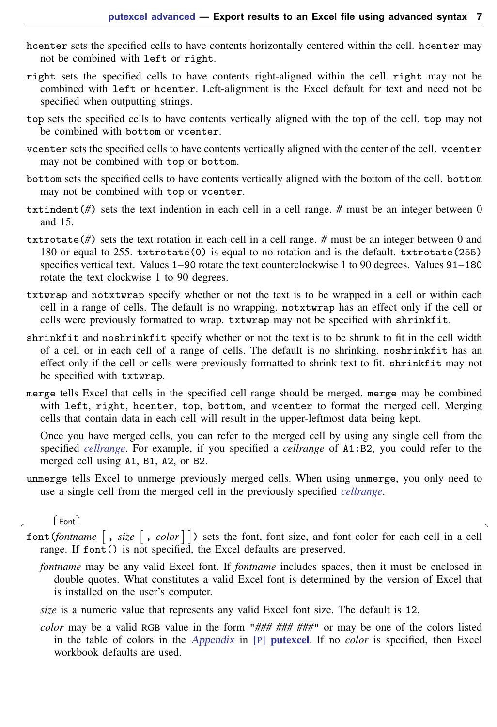- h center sets the specified cells to have contents horizontally centered within the cell. h center may not be combined with left or right.
- right sets the specified cells to have contents right-aligned within the cell. right may not be combined with left or hcenter. Left-alignment is the Excel default for text and need not be specified when outputting strings.
- top sets the specified cells to have contents vertically aligned with the top of the cell. top may not be combined with bottom or vcenter.
- vcenter sets the specified cells to have contents vertically aligned with the center of the cell. vcenter may not be combined with top or bottom.
- bottom sets the specified cells to have contents vertically aligned with the bottom of the cell. bottom may not be combined with top or vcenter.
- txtindent(*#*) sets the text indention in each cell in a cell range. *#* must be an integer between 0 and 15.
- txtrotate(*#*) sets the text rotation in each cell in a cell range. *#* must be an integer between 0 and 180 or equal to 255. txtrotate(0) is equal to no rotation and is the default. txtrotate(255) specifies vertical text. Values 1–90 rotate the text counterclockwise 1 to 90 degrees. Values 91–180 rotate the text clockwise 1 to 90 degrees.
- txtwrap and notxtwrap specify whether or not the text is to be wrapped in a cell or within each cell in a range of cells. The default is no wrapping. notxtwrap has an effect only if the cell or cells were previously formatted to wrap. txtwrap may not be specified with shrinkfit.
- shrinkfit and noshrinkfit specify whether or not the text is to be shrunk to fit in the cell width of a cell or in each cell of a range of cells. The default is no shrinking. noshrinkfit has an effect only if the cell or cells were previously formatted to shrink text to fit. shrinkfit may not be specified with txtwrap.
- merge tells Excel that cells in the specified cell range should be merged. merge may be combined with left, right, hcenter, top, bottom, and vcenter to format the merged cell. Merging cells that contain data in each cell will result in the upper-leftmost data being kept.

Once you have merged cells, you can refer to the merged cell by using any single cell from the specified *[cellrange](#page-1-2)*. For example, if you specified a *cellrange* of A1:B2, you could refer to the merged cell using A1, B1, A2, or B2.

unmerge tells Excel to unmerge previously merged cells. When using unmerge, you only need to use a single cell from the merged cell in the previously specified *[cellrange](#page-1-2)*.

[Font] Font <u>Executive Contract Contract Contract Contract Contract Contract Contract Contract Contract Contract Contract Contract Contract Contract Contract Contract Contract Contract Contract Contract Contract Contract Contract</u>

 $\overline{a}$ 

- font(*fontname*  $\lceil$ , *size*  $\lceil$ , *color*  $\rceil$ ) sets the font, font size, and font color for each cell in a cell range. If  $font()$  is not specified, the Excel defaults are preserved.
	- *fontname* may be any valid Excel font. If *fontname* includes spaces, then it must be enclosed in double quotes. What constitutes a valid Excel font is determined by the version of Excel that is installed on the user's computer.
	- *size* is a numeric value that represents any valid Excel font size. The default is 12.
	- *color* may be a valid RGB value in the form "*### ### ###*" or may be one of the colors listed in the table of colors in the [Appendix](http://www.stata.com/manuals14/pputexcel.pdf#pputexcelAppendixColors) in [P] [putexcel](http://www.stata.com/manuals14/pputexcel.pdf#pputexcel). If no *color* is specified, then Excel workbook defaults are used.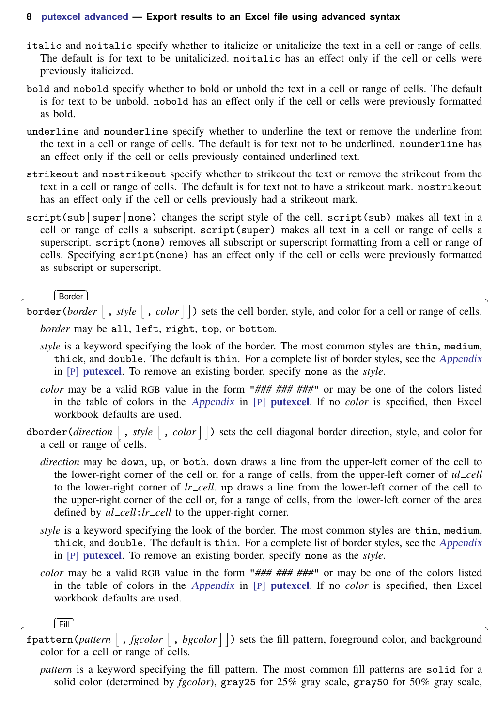- italic and noitalic specify whether to italicize or unitalicize the text in a cell or range of cells. The default is for text to be unitalicized. noitalic has an effect only if the cell or cells were previously italicized.
- bold and nobold specify whether to bold or unbold the text in a cell or range of cells. The default is for text to be unbold. nobold has an effect only if the cell or cells were previously formatted as bold.
- underline and nounderline specify whether to underline the text or remove the underline from the text in a cell or range of cells. The default is for text not to be underlined. nounderline has an effect only if the cell or cells previously contained underlined text.
- strikeout and nostrikeout specify whether to strikeout the text or remove the strikeout from the text in a cell or range of cells. The default is for text not to have a strikeout mark. nostrikeout has an effect only if the cell or cells previously had a strikeout mark.
- script(sub | super | none) changes the script style of the cell. script(sub) makes all text in a cell or range of cells a subscript. script(super) makes all text in a cell or range of cells a superscript. script (none) removes all subscript or superscript formatting from a cell or range of cells. Specifying script(none) has an effect only if the cell or cells were previously formatted as subscript or superscript.

Border Border <u>Executive Contract Construction of the Second Construction of the Second Construction of the Second Construction of the Second Construction of the Second Construction of the Second Construction of the Second Constr</u>

 $\overline{a}$ 

border(*border*  $\lceil$ , *style*  $\lceil$ , *color*  $\rceil$ ) sets the cell border, style, and color for a cell or range of cells. *border* may be all, left, right, top, or bottom.

- *style* is a keyword specifying the look of the border. The most common styles are thin, medium, thick, and double. The default is thin. For a complete list of border styles, see the [Appendix](http://www.stata.com/manuals14/pputexcel.pdf#pputexcelAppendixBorderstyles) in [P] [putexcel](http://www.stata.com/manuals14/pputexcel.pdf#pputexcel). To remove an existing border, specify none as the *style*.
- *color* may be a valid RGB value in the form "*### ### ###*" or may be one of the colors listed in the table of colors in the [Appendix](http://www.stata.com/manuals14/pputexcel.pdf#pputexcelAppendixColors) in [P] [putexcel](http://www.stata.com/manuals14/pputexcel.pdf#pputexcel). If no *color* is specified, then Excel workbook defaults are used.
- dborder(*direction*  $\lceil$ , *style*  $\lceil$ , *color*  $\rceil$ ) sets the cell diagonal border direction, style, and color for a cell or range of cells.
	- *direction* may be down, up, or both. down draws a line from the upper-left corner of the cell to the lower-right corner of the cell or, for a range of cells, from the upper-left corner of *ul cell* to the lower-right corner of *lr cell*. up draws a line from the lower-left corner of the cell to the upper-right corner of the cell or, for a range of cells, from the lower-left corner of the area defined by  $ul\_cell: lr\_cell$  to the upper-right corner.
	- *style* is a keyword specifying the look of the border. The most common styles are thin, medium, thick, and double. The default is thin. For a complete list of border styles, see the [Appendix](http://www.stata.com/manuals14/pputexcel.pdf#pputexcelAppendixBorderstyles) in [P] [putexcel](http://www.stata.com/manuals14/pputexcel.pdf#pputexcel). To remove an existing border, specify none as the *style*.
	- *color* may be a valid RGB value in the form "*### ### ###*" or may be one of the colors listed in the table of colors in the [Appendix](http://www.stata.com/manuals14/pputexcel.pdf#pputexcelAppendixColors) in [P] [putexcel](http://www.stata.com/manuals14/pputexcel.pdf#pputexcel). If no *color* is specified, then Excel workbook defaults are used.

ি⊏য়

- $\overline{a}$ Fill **Executive Contract of the Contract of the Contract of Texas and Contract of Texas and Contract of Texas and Contract of Texas and Contract of Texas and Contract of Texas and Contract of Texas and Contract of Texas an** fpattern(*pattern* [, *fgcolor* [, *bgcolor*]]) sets the fill pattern, foreground color, and background color for a cell or range of cells.
	- *pattern* is a keyword specifying the fill pattern. The most common fill patterns are solid for a solid color (determined by *fgcolor*), gray25 for 25% gray scale, gray50 for 50% gray scale,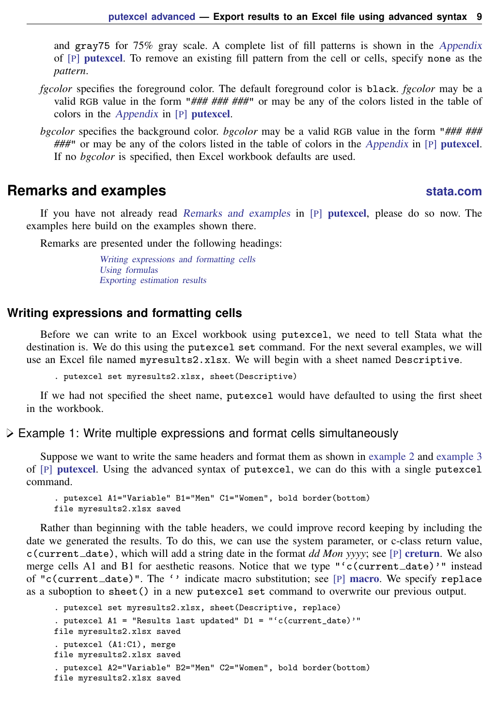and gray75 for 75% gray scale. A complete list of fill patterns is shown in the [Appendix](http://www.stata.com/manuals14/pputexcel.pdf#pputexcelAppendixBackgroundpatterns) of [P] [putexcel](http://www.stata.com/manuals14/pputexcel.pdf#pputexcel). To remove an existing fill pattern from the cell or cells, specify none as the *pattern*.

- *fgcolor* specifies the foreground color. The default foreground color is black. *fgcolor* may be a valid RGB value in the form "*### ### ###*" or may be any of the colors listed in the table of colors in the [Appendix](http://www.stata.com/manuals14/pputexcel.pdf#pputexcelAppendixColors) in [P] [putexcel](http://www.stata.com/manuals14/pputexcel.pdf#pputexcel).
- *bgcolor* specifies the background color. *bgcolor* may be a valid RGB value in the form "*### ### ###*" or may be any of the colors listed in the table of colors in the [Appendix](http://www.stata.com/manuals14/pputexcel.pdf#pputexcelAppendixColors) in [P] [putexcel](http://www.stata.com/manuals14/pputexcel.pdf#pputexcel). If no *bgcolor* is specified, then Excel workbook defaults are used.

## <span id="page-8-0"></span>**Remarks and examples [stata.com](http://stata.com)**

If you have not already read [Remarks and examples](http://www.stata.com/manuals14/pputexcel.pdf#pputexcelRemarksandexamples) in [P] [putexcel](http://www.stata.com/manuals14/pputexcel.pdf#pputexcel), please do so now. The examples here build on the examples shown there.

Remarks are presented under the following headings:

[Writing expressions and formatting cells](#page-8-1) [Using formulas](#page-9-0) [Exporting estimation results](#page-11-0)

### <span id="page-8-1"></span>**Writing expressions and formatting cells**

Before we can write to an Excel workbook using putexcel, we need to tell Stata what the destination is. We do this using the putexcel set command. For the next several examples, we will use an Excel file named myresults2.xlsx. We will begin with a sheet named Descriptive.

. putexcel set myresults2.xlsx, sheet(Descriptive)

If we had not specified the sheet name, putexcel would have defaulted to using the first sheet in the workbook.

 $\triangleright$  Example 1: Write multiple expressions and format cells simultaneously

Suppose we want to write the same headers and format them as shown in [example 2](http://www.stata.com/manuals14/pputexcel.pdf#pputexcelRemarksandexamplesex2) and [example 3](http://www.stata.com/manuals14/pputexcel.pdf#pputexcelRemarksandexamplesex3) of [P] [putexcel](http://www.stata.com/manuals14/pputexcel.pdf#pputexcel). Using the advanced syntax of putexcel, we can do this with a single putexcel command.

. putexcel A1="Variable" B1="Men" C1="Women", bold border(bottom) file myresults2.xlsx saved

Rather than beginning with the table headers, we could improve record keeping by including the date we generated the results. To do this, we can use the system parameter, or c-class return value, c(current date), which will add a string date in the format *dd Mon yyyy*; see [P] [creturn](http://www.stata.com/manuals14/pcreturn.pdf#pcreturn). We also merge cells A1 and B1 for aesthetic reasons. Notice that we type "'c(current date)'" instead of "c(current\_date)". The  $\prime$  indicate [macro](http://www.stata.com/manuals14/pmacro.pdf#pmacro) substitution; see [P] macro. We specify replace as a suboption to sheet() in a new putexcel set command to overwrite our previous output.

```
. putexcel set myresults2.xlsx, sheet(Descriptive, replace)
. putexcel A1 = "Results last updated" D1 = "'c(current_date)'"
file myresults2.xlsx saved
. putexcel (A1:C1), merge
file myresults2.xlsx saved
. putexcel A2="Variable" B2="Men" C2="Women", bold border(bottom)
file myresults2.xlsx saved
```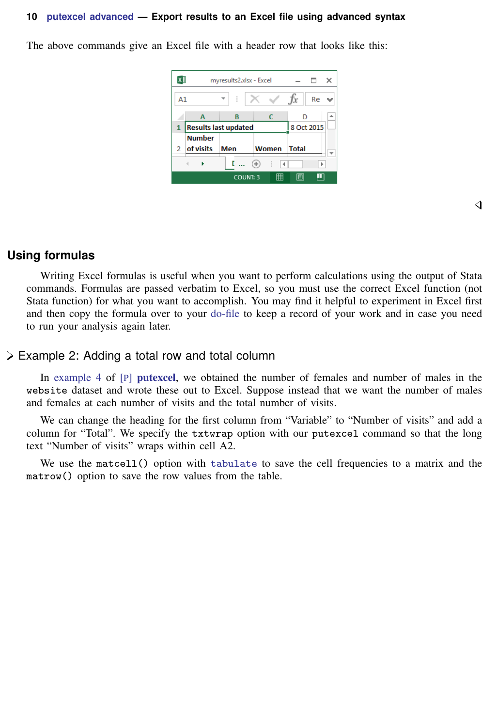The above commands give an Excel file with a header row that looks like this:



### ◁

### <span id="page-9-0"></span>**Using formulas**

Writing Excel formulas is useful when you want to perform calculations using the output of Stata commands. Formulas are passed verbatim to Excel, so you must use the correct Excel function (not Stata function) for what you want to accomplish. You may find it helpful to experiment in Excel first and then copy the formula over to your [do-file](http://www.stata.com/manuals14/u16do-files.pdf#u16Do-files) to keep a record of your work and in case you need to run your analysis again later.

### Example 2: Adding a total row and total column

In [example 4](http://www.stata.com/manuals14/pputexcel.pdf#pputexcelRemarksandexamplesex4) of [P] [putexcel](http://www.stata.com/manuals14/pputexcel.pdf#pputexcel), we obtained the number of females and number of males in the website dataset and wrote these out to Excel. Suppose instead that we want the number of males and females at each number of visits and the total number of visits.

We can change the heading for the first column from "Variable" to "Number of visits" and add a column for "Total". We specify the txtwrap option with our putexcel command so that the long text "Number of visits" wraps within cell A2.

We use the matcell() option with [tabulate](http://www.stata.com/manuals14/rtabulatetwoway.pdf#rtabulatetwoway) to save the cell frequencies to a matrix and the matrow() option to save the row values from the table.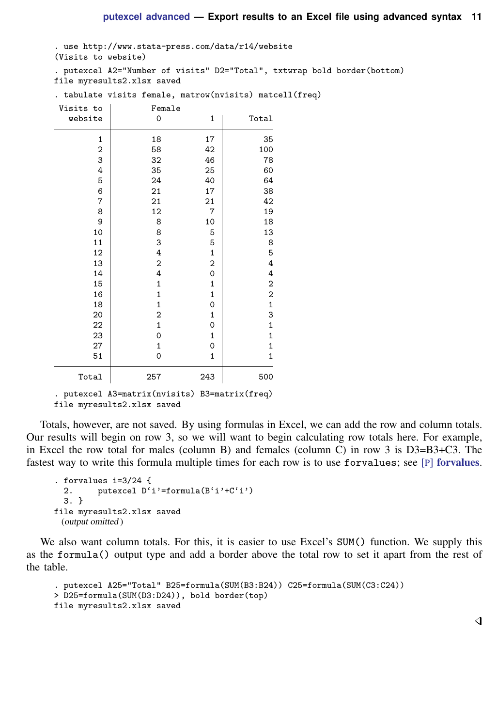. use http://www.stata-press.com/data/r14/website (Visits to website)

. putexcel A2="Number of visits" D2="Total", txtwrap bold border(bottom) file myresults2.xlsx saved

| Visits to        | Female           |                |                         |
|------------------|------------------|----------------|-------------------------|
| website          | 0                | 1              | Total                   |
| 1                | 18               | 17             | 35                      |
| $\mathbf 2$      | 58               | 42             | 100                     |
| 3                | 32               | 46             | 78                      |
| $\ensuremath{4}$ | 35               | 25             | 60                      |
| 5                | 24               | 40             | 64                      |
| 6                | 21               | 17             | 38                      |
| $\overline{7}$   | 21               | 21             | 42                      |
| 8                | 12               | $\overline{7}$ | 19                      |
| 9                | 8                | 10             | 18                      |
| 10               | 8                | 5              | 13                      |
| 11               | 3                | 5              | 8                       |
| 12               | $\overline{4}$   | $\mathbf 1$    | 5                       |
| 13               | $\overline{c}$   | 2              | $\overline{4}$          |
| 14               | $\overline{4}$   | 0              | $\overline{4}$          |
| 15               | $\mathbf 1$      | $\mathbf 1$    | $\overline{\mathbf{c}}$ |
| 16               | 1                | $\mathbf 1$    | $\overline{\mathbf{c}}$ |
| 18               | $\mathbf{1}$     | 0              | $\mathbf{1}$            |
| 20               | $\boldsymbol{2}$ | $\mathbf{1}$   | 3                       |
| 22               | $\mathbf 1$      | 0              | $\mathbf 1$             |
| 23               | $\mathbf 0$      | $\mathbf 1$    | $\mathbf{1}$            |
| 27               | $\mathbf{1}$     | $\mathbf 0$    | $\mathbf 1$             |
| 51               | 0                | 1              | 1                       |
| Total            | 257              | 243            | 500                     |

. tabulate visits female, matrow(nvisits) matcell(freq)

Totals, however, are not saved. By using formulas in Excel, we can add the row and column totals. Our results will begin on row 3, so we will want to begin calculating row totals here. For example, in Excel the row total for males (column B) and females (column C) in row 3 is D3=B3+C3. The fastest way to write this formula multiple times for each row is to use [forvalues](http://www.stata.com/manuals14/pforvalues.pdf#pforvalues); see [P] forvalues.

```
. forvalues i=3/24 {
  2. putexcel D'i'=formula(B'i'+C'i')
  3. }
file myresults2.xlsx saved
 (output omitted )
```
We also want column totals. For this, it is easier to use Excel's SUM() function. We supply this as the formula() output type and add a border above the total row to set it apart from the rest of the table.

```
. putexcel A25="Total" B25=formula(SUM(B3:B24)) C25=formula(SUM(C3:C24))
> D25=formula(SUM(D3:D24)), bold border(top)
file myresults2.xlsx saved
```
◁

<sup>.</sup> putexcel A3=matrix(nvisits) B3=matrix(freq) file myresults2.xlsx saved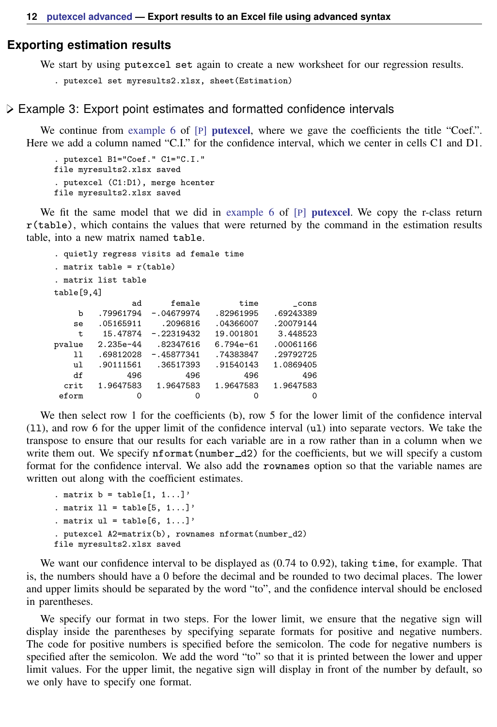### <span id="page-11-0"></span>**Exporting estimation results**

We start by using putexcel set again to create a new worksheet for our regression results.

```
. putexcel set myresults2.xlsx, sheet(Estimation)
```
### <span id="page-11-1"></span> $\triangleright$  Example 3: Export point estimates and formatted confidence intervals

We continue from [example 6](http://www.stata.com/manuals14/pputexcel.pdf#pputexcelRemarksandexamplesex6) of [P] **[putexcel](http://www.stata.com/manuals14/pputexcel.pdf#pputexcel)**, where we gave the coefficients the title "Coef.". Here we add a column named "C.I." for the confidence interval, which we center in cells C1 and D1.

```
. putexcel B1="Coef." C1="C.I."
file myresults2.xlsx saved
. putexcel (C1:D1), merge hcenter
file myresults2.xlsx saved
```
We fit the same model that we did in [example 6](http://www.stata.com/manuals14/pputexcel.pdf#pputexcelRemarksandexamplesex6) of [P] **[putexcel](http://www.stata.com/manuals14/pputexcel.pdf#pputexcel)**. We copy the r-class return r(table), which contains the values that were returned by the command in the estimation results table, into a new matrix named table.

```
. quietly regress visits ad female time
. matrix table = r(table)
. matrix list table
table[9,4]
             ad female time _cons<br>
94 -.04679974 .82961995 .69243389
    b .79961794 -.04679974 .82961995 .69243389
   se .05165911 .2096816 .04366007 .20079144
   t 15.47874 -.22319432 19.001801 3.448523
pvalue 2.235e-44 .82347616 6.794e-61 .00061166
       169812028 -.45877341
   ul .90111561 .36517393 .91540143 1.0869405
   df 496 496 496 496
 crit 1.9647583 1.9647583 1.9647583 1.9647583
 eform 0 0 0 0 0
```
We then select row 1 for the coefficients (b), row 5 for the lower limit of the confidence interval (ll), and row 6 for the upper limit of the confidence interval (ul) into separate vectors. We take the transpose to ensure that our results for each variable are in a row rather than in a column when we write them out. We specify nformat (number  $\Delta 2$ ) for the coefficients, but we will specify a custom format for the confidence interval. We also add the rownames option so that the variable names are written out along with the coefficient estimates.

```
. matrix b = \text{table}[1, 1...]'
. matrix 11 = \text{table}[5, 1...]'
. matrix ul = table[6, 1...]'
. putexcel A2=matrix(b), rownames nformat(number_d2)
file myresults2.xlsx saved
```
We want our confidence interval to be displayed as (0.74 to 0.92), taking time, for example. That is, the numbers should have a 0 before the decimal and be rounded to two decimal places. The lower and upper limits should be separated by the word "to", and the confidence interval should be enclosed in parentheses.

We specify our format in two steps. For the lower limit, we ensure that the negative sign will display inside the parentheses by specifying separate formats for positive and negative numbers. The code for positive numbers is specified before the semicolon. The code for negative numbers is specified after the semicolon. We add the word "to" so that it is printed between the lower and upper limit values. For the upper limit, the negative sign will display in front of the number by default, so we only have to specify one format.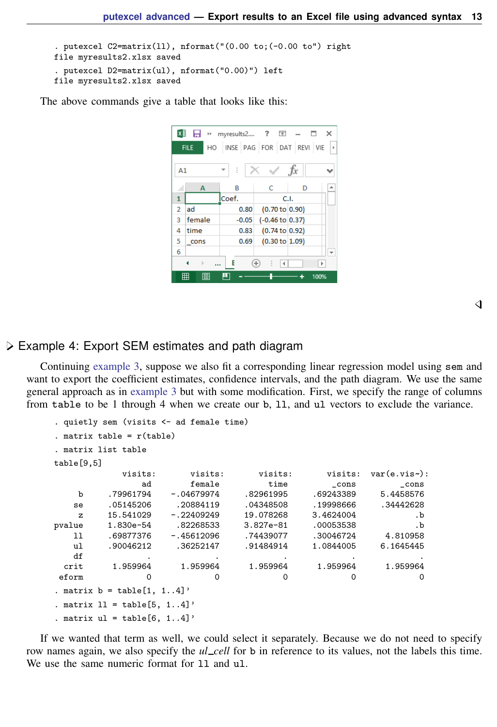```
. putexcel C2 = matrix(11), nformat("0.00 to; (-0.00 to") right)file myresults2.xlsx saved
. putexcel D2=matrix(ul), nformat("0.00)") left
file myresults2.xlsx saved
```
The above commands give a table that looks like this:



◁

### Example 4: Export SEM estimates and path diagram

Continuing [example 3](#page-11-1), suppose we also fit a corresponding linear regression model using sem and want to export the coefficient estimates, confidence intervals, and the path diagram. We use the same general approach as in [example 3](#page-11-1) but with some modification. First, we specify the range of columns from table to be 1 through 4 when we create our b, ll, and ul vectors to exclude the variance.

```
. quietly sem (visits <- ad female time)
. matrix table = r(table)
. matrix list table
table[9,5]
          visits: visits: visits: visits: var(e.vis~):<br>
she for the visits: visits: var(e.vis~):
             ad female time _cons _cons
   b .79961794 -.04679974 .82961995 .69243389 5.4458576
   se .05145206 .20884119 .04348508 .19998666 .34442628
   z 15.541029 -.22409249 19.078268 3.4624004 .b
pvalue 1.830e-54 .82268533 3.827e-81 .00053538 .b
  ll .69877376 -.45612096 .74439077 .30046724 4.810958
   ul .90046212 .36252147 .91484914 1.0844005 6.1645445
   df . . . . .
 crit 1.959964 1.959964 1.959964 1.959964 1.959964
eform 0 0 0 0 0 0 0
. matrix b = \text{table}[1, 1, .4]'
. matrix 11 = \text{table}[5, 1..4]'
. matrix ul = table[6, 1..4]'
```
If we wanted that term as well, we could select it separately. Because we do not need to specify row names again, we also specify the *ul cell* for b in reference to its values, not the labels this time. We use the same numeric format for 11 and ul.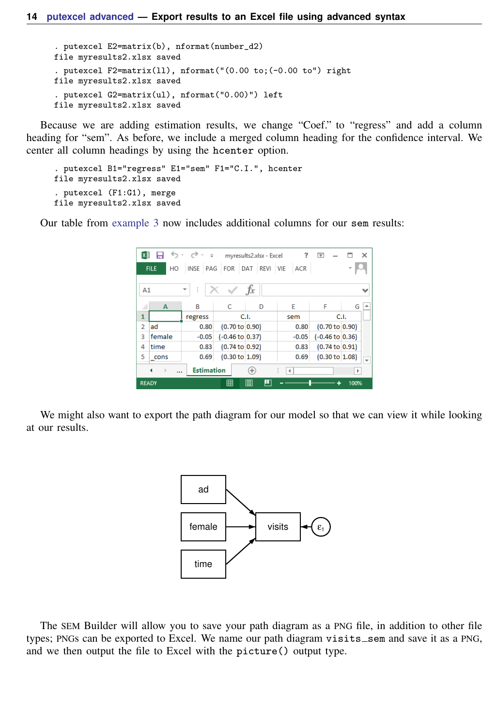```
. putexcel E2=matrix(b), nformat(number_d2)
file myresults2.xlsx saved
. putexcel F2=matrix(ll), nformat("(0.00 to;(-0.00 to") right
file myresults2.xlsx saved
. putexcel G2=matrix(ul), nformat("0.00)") left
file myresults2.xlsx saved
```
Because we are adding estimation results, we change "Coef." to "regress" and add a column heading for "sem". As before, we include a merged column heading for the confidence interval. We center all column headings by using the hcenter option.

```
. putexcel B1="regress" E1="sem" F1="C.I.", hcenter
file myresults2.xlsx saved
. putexcel (F1:G1), merge
file myresults2.xlsx saved
```
Our table from [example 3](#page-11-1) now includes additional columns for our sem results:

| X∄                                                                                    |                                                                    | ちゃ ペーキー |                            | myresults2.xlsx - Excel | ?       | ◚                          | ×      |
|---------------------------------------------------------------------------------------|--------------------------------------------------------------------|---------|----------------------------|-------------------------|---------|----------------------------|--------|
|                                                                                       | FOR DAT REVI<br>INSE PAG<br><b>FILE</b><br><b>VIE</b><br>ACR<br>HO |         |                            |                         |         |                            |        |
| fx<br>m.<br>A1<br>v                                                                   |                                                                    |         |                            |                         |         |                            |        |
|                                                                                       | A                                                                  | B       | C                          | D                       | E       | F                          | ۸<br>G |
| 1                                                                                     |                                                                    | regress |                            | C.I.                    | sem     |                            | C.L    |
| $\overline{2}$                                                                        | ad                                                                 | 0.80    | $(0.70 \text{ to } 0.90)$  |                         | 0.80    | (0.70 to 0.90)             |        |
| R                                                                                     | female                                                             | $-0.05$ | $(-0.46 \text{ to } 0.37)$ |                         | $-0.05$ | $(-0.46 \text{ to } 0.36)$ |        |
| 4                                                                                     | time                                                               | 0.83    | $(0.74 \text{ to } 0.92)$  |                         | 0.83    | $(0.74 \text{ to } 0.91)$  |        |
| 5                                                                                     | cons                                                               | 0.69    | (0.30 to 1.09)             |                         | 0.69    | (0.30 to 1.08)             | ٠      |
| <b>Estimation</b><br>Œ<br>٠<br>$\rightarrow$<br>$\blacktriangleleft$<br>r<br>$\cdots$ |                                                                    |         |                            |                         |         |                            |        |
| <b>READY</b>                                                                          |                                                                    |         | 開                          | ш<br>间                  |         |                            | 100%   |

We might also want to export the path diagram for our model so that we can view it while looking at our results.



The SEM Builder will allow you to save your path diagram as a PNG file, in addition to other file types; PNGs can be exported to Excel. We name our path diagram visits sem and save it as a PNG, and we then output the file to Excel with the picture() output type.